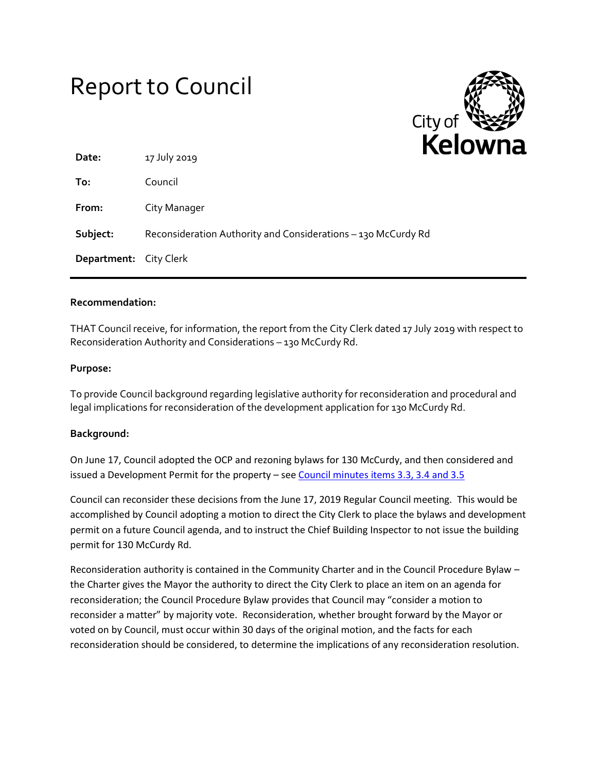# Report to Council



| Date:                         | 17 July 2019                                                  |  |
|-------------------------------|---------------------------------------------------------------|--|
| To:                           | Council                                                       |  |
| From:                         | City Manager                                                  |  |
| Subject:                      | Reconsideration Authority and Considerations - 130 McCurdy Rd |  |
| <b>Department:</b> City Clerk |                                                               |  |

### **Recommendation:**

THAT Council receive, for information, the report from the City Clerk dated 17 July 2019 with respect to Reconsideration Authority and Considerations – 130 McCurdy Rd.

### **Purpose:**

To provide Council background regarding legislative authority for reconsideration and procedural and legal implications for reconsideration of the development application for 130 McCurdy Rd.

### **Background:**

On June 17, Council adopted the OCP and rezoning bylaws for 130 McCurdy, and then considered and issued a Development Permit for the property – see [Council minutes items 3.3, 3.4 and 3.5](https://kelownapublishing.escribemeetings.com/FileStream.ashx?DocumentId=23208)

Council can reconsider these decisions from the June 17, 2019 Regular Council meeting. This would be accomplished by Council adopting a motion to direct the City Clerk to place the bylaws and development permit on a future Council agenda, and to instruct the Chief Building Inspector to not issue the building permit for 130 McCurdy Rd.

Reconsideration authority is contained in the Community Charter and in the Council Procedure Bylaw – the Charter gives the Mayor the authority to direct the City Clerk to place an item on an agenda for reconsideration; the Council Procedure Bylaw provides that Council may "consider a motion to reconsider a matter" by majority vote. Reconsideration, whether brought forward by the Mayor or voted on by Council, must occur within 30 days of the original motion, and the facts for each reconsideration should be considered, to determine the implications of any reconsideration resolution.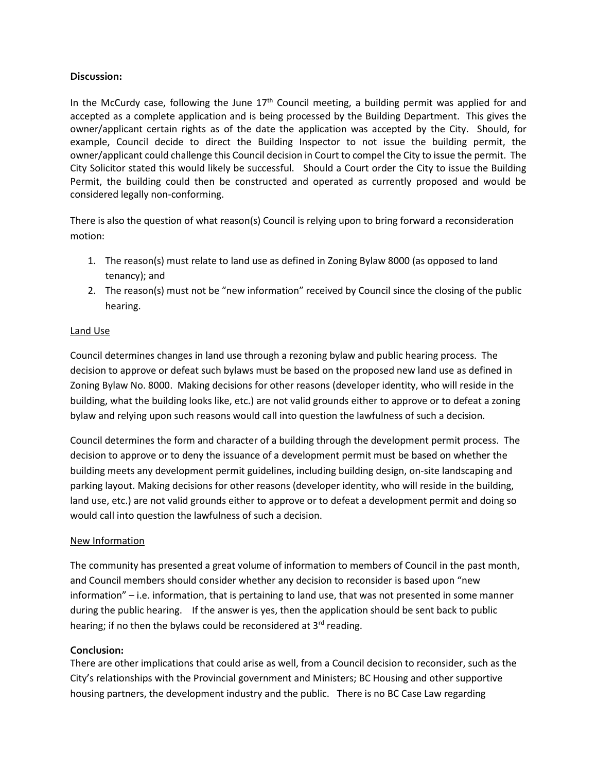## **Discussion:**

In the McCurdy case, following the June  $17<sup>th</sup>$  Council meeting, a building permit was applied for and accepted as a complete application and is being processed by the Building Department. This gives the owner/applicant certain rights as of the date the application was accepted by the City. Should, for example, Council decide to direct the Building Inspector to not issue the building permit, the owner/applicant could challenge this Council decision in Court to compel the City to issue the permit. The City Solicitor stated this would likely be successful. Should a Court order the City to issue the Building Permit, the building could then be constructed and operated as currently proposed and would be considered legally non-conforming.

There is also the question of what reason(s) Council is relying upon to bring forward a reconsideration motion:

- 1. The reason(s) must relate to land use as defined in Zoning Bylaw 8000 (as opposed to land tenancy); and
- 2. The reason(s) must not be "new information" received by Council since the closing of the public hearing.

# Land Use

Council determines changes in land use through a rezoning bylaw and public hearing process. The decision to approve or defeat such bylaws must be based on the proposed new land use as defined in Zoning Bylaw No. 8000. Making decisions for other reasons (developer identity, who will reside in the building, what the building looks like, etc.) are not valid grounds either to approve or to defeat a zoning bylaw and relying upon such reasons would call into question the lawfulness of such a decision.

Council determines the form and character of a building through the development permit process. The decision to approve or to deny the issuance of a development permit must be based on whether the building meets any development permit guidelines, including building design, on-site landscaping and parking layout. Making decisions for other reasons (developer identity, who will reside in the building, land use, etc.) are not valid grounds either to approve or to defeat a development permit and doing so would call into question the lawfulness of such a decision.

### New Information

The community has presented a great volume of information to members of Council in the past month, and Council members should consider whether any decision to reconsider is based upon "new information" – i.e. information, that is pertaining to land use, that was not presented in some manner during the public hearing. If the answer is yes, then the application should be sent back to public hearing; if no then the bylaws could be reconsidered at 3<sup>rd</sup> reading.

# **Conclusion:**

There are other implications that could arise as well, from a Council decision to reconsider, such as the City's relationships with the Provincial government and Ministers; BC Housing and other supportive housing partners, the development industry and the public. There is no BC Case Law regarding